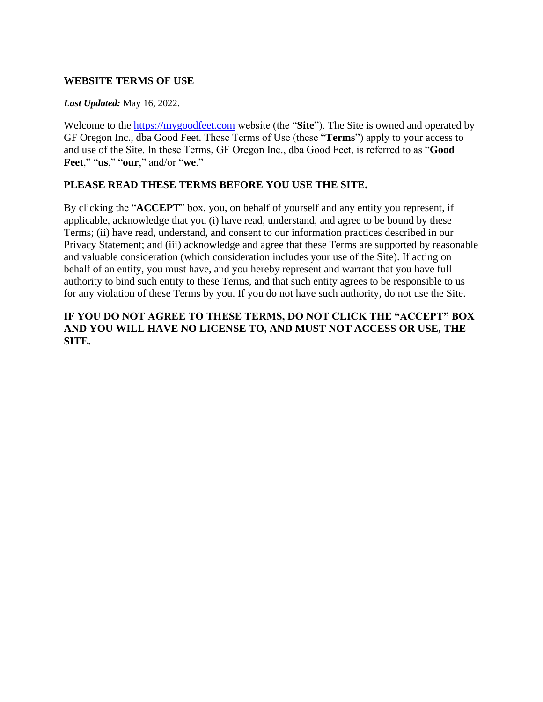### **WEBSITE TERMS OF USE**

#### *Last Updated:* May 16, 2022.

Welcome to the [https://mygoodfeet.com](https://mygoodfeet.com/) website (the "**Site**"). The Site is owned and operated by GF Oregon Inc., dba Good Feet. These Terms of Use (these "**Terms**") apply to your access to and use of the Site. In these Terms, GF Oregon Inc., dba Good Feet, is referred to as "**Good Feet**," "**us**," "**our**," and/or "**we**."

#### **PLEASE READ THESE TERMS BEFORE YOU USE THE SITE.**

By clicking the "**ACCEPT**" box, you, on behalf of yourself and any entity you represent, if applicable, acknowledge that you (i) have read, understand, and agree to be bound by these Terms; (ii) have read, understand, and consent to our information practices described in our Privacy Statement; and (iii) acknowledge and agree that these Terms are supported by reasonable and valuable consideration (which consideration includes your use of the Site). If acting on behalf of an entity, you must have, and you hereby represent and warrant that you have full authority to bind such entity to these Terms, and that such entity agrees to be responsible to us for any violation of these Terms by you. If you do not have such authority, do not use the Site.

### **IF YOU DO NOT AGREE TO THESE TERMS, DO NOT CLICK THE "ACCEPT" BOX AND YOU WILL HAVE NO LICENSE TO, AND MUST NOT ACCESS OR USE, THE SITE.**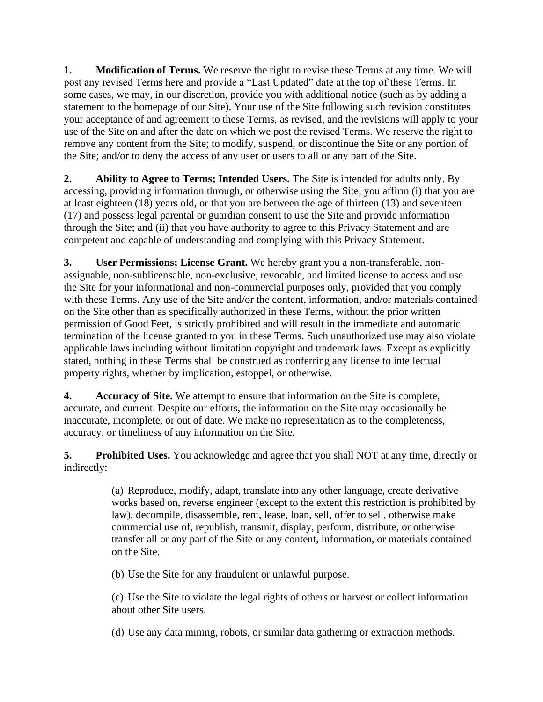**1. Modification of Terms.** We reserve the right to revise these Terms at any time. We will post any revised Terms here and provide a "Last Updated" date at the top of these Terms. In some cases, we may, in our discretion, provide you with additional notice (such as by adding a statement to the homepage of our Site). Your use of the Site following such revision constitutes your acceptance of and agreement to these Terms, as revised, and the revisions will apply to your use of the Site on and after the date on which we post the revised Terms. We reserve the right to remove any content from the Site; to modify, suspend, or discontinue the Site or any portion of the Site; and/or to deny the access of any user or users to all or any part of the Site.

**2. Ability to Agree to Terms; Intended Users.** The Site is intended for adults only. By accessing, providing information through, or otherwise using the Site, you affirm (i) that you are at least eighteen (18) years old, or that you are between the age of thirteen (13) and seventeen (17) and possess legal parental or guardian consent to use the Site and provide information through the Site; and (ii) that you have authority to agree to this Privacy Statement and are competent and capable of understanding and complying with this Privacy Statement.

**3. User Permissions; License Grant.** We hereby grant you a non-transferable, nonassignable, non-sublicensable, non-exclusive, revocable, and limited license to access and use the Site for your informational and non-commercial purposes only, provided that you comply with these Terms. Any use of the Site and/or the content, information, and/or materials contained on the Site other than as specifically authorized in these Terms, without the prior written permission of Good Feet, is strictly prohibited and will result in the immediate and automatic termination of the license granted to you in these Terms. Such unauthorized use may also violate applicable laws including without limitation copyright and trademark laws. Except as explicitly stated, nothing in these Terms shall be construed as conferring any license to intellectual property rights, whether by implication, estoppel, or otherwise.

**4. Accuracy of Site.** We attempt to ensure that information on the Site is complete, accurate, and current. Despite our efforts, the information on the Site may occasionally be inaccurate, incomplete, or out of date. We make no representation as to the completeness, accuracy, or timeliness of any information on the Site.

**5. Prohibited Uses.** You acknowledge and agree that you shall NOT at any time, directly or indirectly:

> (a) Reproduce, modify, adapt, translate into any other language, create derivative works based on, reverse engineer (except to the extent this restriction is prohibited by law), decompile, disassemble, rent, lease, loan, sell, offer to sell, otherwise make commercial use of, republish, transmit, display, perform, distribute, or otherwise transfer all or any part of the Site or any content, information, or materials contained on the Site.

(b) Use the Site for any fraudulent or unlawful purpose.

(c) Use the Site to violate the legal rights of others or harvest or collect information about other Site users.

(d) Use any data mining, robots, or similar data gathering or extraction methods.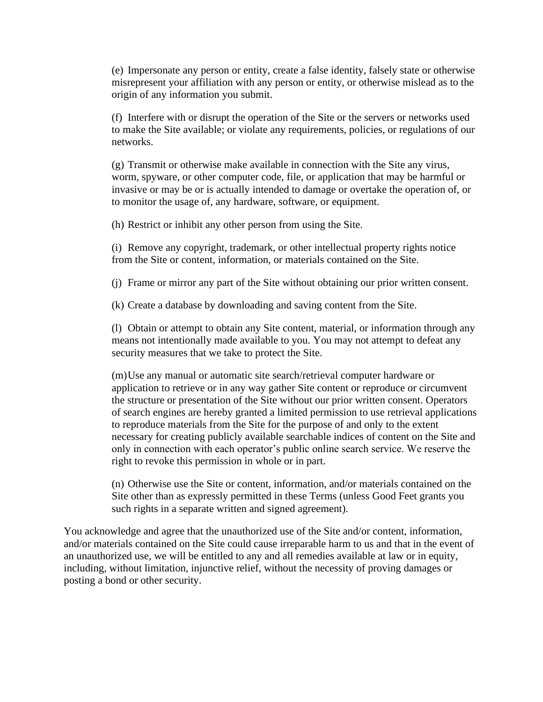(e) Impersonate any person or entity, create a false identity, falsely state or otherwise misrepresent your affiliation with any person or entity, or otherwise mislead as to the origin of any information you submit.

(f) Interfere with or disrupt the operation of the Site or the servers or networks used to make the Site available; or violate any requirements, policies, or regulations of our networks.

(g) Transmit or otherwise make available in connection with the Site any virus, worm, spyware, or other computer code, file, or application that may be harmful or invasive or may be or is actually intended to damage or overtake the operation of, or to monitor the usage of, any hardware, software, or equipment.

(h) Restrict or inhibit any other person from using the Site.

(i) Remove any copyright, trademark, or other intellectual property rights notice from the Site or content, information, or materials contained on the Site.

(j) Frame or mirror any part of the Site without obtaining our prior written consent.

(k) Create a database by downloading and saving content from the Site.

(l) Obtain or attempt to obtain any Site content, material, or information through any means not intentionally made available to you. You may not attempt to defeat any security measures that we take to protect the Site.

(m)Use any manual or automatic site search/retrieval computer hardware or application to retrieve or in any way gather Site content or reproduce or circumvent the structure or presentation of the Site without our prior written consent. Operators of search engines are hereby granted a limited permission to use retrieval applications to reproduce materials from the Site for the purpose of and only to the extent necessary for creating publicly available searchable indices of content on the Site and only in connection with each operator's public online search service. We reserve the right to revoke this permission in whole or in part.

(n) Otherwise use the Site or content, information, and/or materials contained on the Site other than as expressly permitted in these Terms (unless Good Feet grants you such rights in a separate written and signed agreement).

You acknowledge and agree that the unauthorized use of the Site and/or content, information, and/or materials contained on the Site could cause irreparable harm to us and that in the event of an unauthorized use, we will be entitled to any and all remedies available at law or in equity, including, without limitation, injunctive relief, without the necessity of proving damages or posting a bond or other security.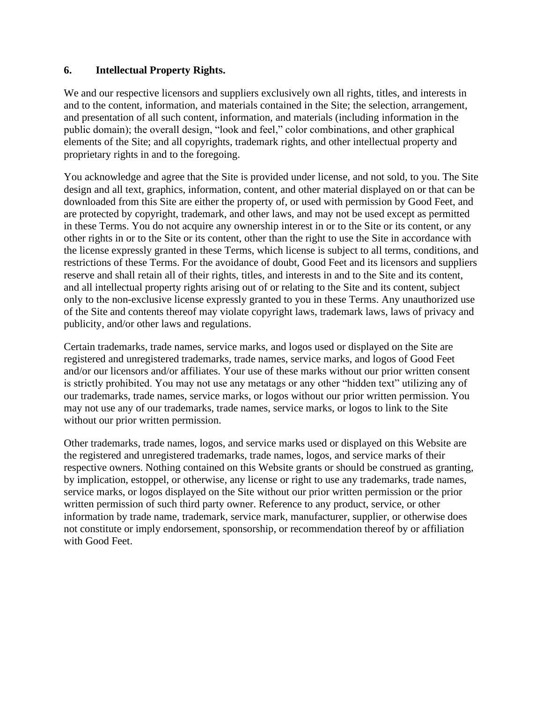#### **6. Intellectual Property Rights.**

We and our respective licensors and suppliers exclusively own all rights, titles, and interests in and to the content, information, and materials contained in the Site; the selection, arrangement, and presentation of all such content, information, and materials (including information in the public domain); the overall design, "look and feel," color combinations, and other graphical elements of the Site; and all copyrights, trademark rights, and other intellectual property and proprietary rights in and to the foregoing.

You acknowledge and agree that the Site is provided under license, and not sold, to you. The Site design and all text, graphics, information, content, and other material displayed on or that can be downloaded from this Site are either the property of, or used with permission by Good Feet, and are protected by copyright, trademark, and other laws, and may not be used except as permitted in these Terms. You do not acquire any ownership interest in or to the Site or its content, or any other rights in or to the Site or its content, other than the right to use the Site in accordance with the license expressly granted in these Terms, which license is subject to all terms, conditions, and restrictions of these Terms. For the avoidance of doubt, Good Feet and its licensors and suppliers reserve and shall retain all of their rights, titles, and interests in and to the Site and its content, and all intellectual property rights arising out of or relating to the Site and its content, subject only to the non-exclusive license expressly granted to you in these Terms. Any unauthorized use of the Site and contents thereof may violate copyright laws, trademark laws, laws of privacy and publicity, and/or other laws and regulations.

Certain trademarks, trade names, service marks, and logos used or displayed on the Site are registered and unregistered trademarks, trade names, service marks, and logos of Good Feet and/or our licensors and/or affiliates. Your use of these marks without our prior written consent is strictly prohibited. You may not use any metatags or any other "hidden text" utilizing any of our trademarks, trade names, service marks, or logos without our prior written permission. You may not use any of our trademarks, trade names, service marks, or logos to link to the Site without our prior written permission.

Other trademarks, trade names, logos, and service marks used or displayed on this Website are the registered and unregistered trademarks, trade names, logos, and service marks of their respective owners. Nothing contained on this Website grants or should be construed as granting, by implication, estoppel, or otherwise, any license or right to use any trademarks, trade names, service marks, or logos displayed on the Site without our prior written permission or the prior written permission of such third party owner. Reference to any product, service, or other information by trade name, trademark, service mark, manufacturer, supplier, or otherwise does not constitute or imply endorsement, sponsorship, or recommendation thereof by or affiliation with Good Feet.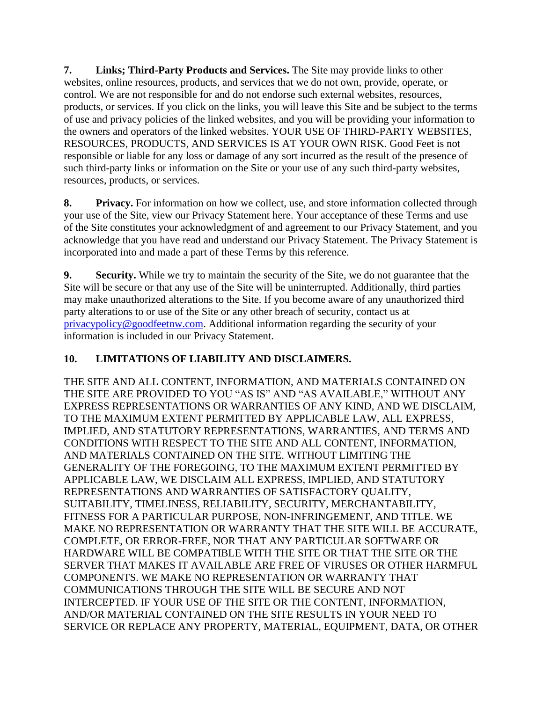**7. Links; Third-Party Products and Services.** The Site may provide links to other websites, online resources, products, and services that we do not own, provide, operate, or control. We are not responsible for and do not endorse such external websites, resources, products, or services. If you click on the links, you will leave this Site and be subject to the terms of use and privacy policies of the linked websites, and you will be providing your information to the owners and operators of the linked websites. YOUR USE OF THIRD-PARTY WEBSITES, RESOURCES, PRODUCTS, AND SERVICES IS AT YOUR OWN RISK. Good Feet is not responsible or liable for any loss or damage of any sort incurred as the result of the presence of such third-party links or information on the Site or your use of any such third-party websites, resources, products, or services.

**8. Privacy.** For information on how we collect, use, and store information collected through your use of the Site, view our Privacy Statement [here.](https://mygoodfeet.com/wp-content/uploads/2022/05/MYGOODFEET-Website-Privacy-Policy-SWW-4-7-22.pdf) Your acceptance of these Terms and use of the Site constitutes your acknowledgment of and agreement to our Privacy Statement, and you acknowledge that you have read and understand our Privacy Statement. The Privacy Statement is incorporated into and made a part of these Terms by this reference.

**9. Security.** While we try to maintain the security of the Site, we do not guarantee that the Site will be secure or that any use of the Site will be uninterrupted. Additionally, third parties may make unauthorized alterations to the Site. If you become aware of any unauthorized third party alterations to or use of the Site or any other breach of security, contact us at [privacypolicy@goodfeetnw.com.](mailto:privacypolicy@goodfeetnw.com) Additional information regarding the security of your information is included in our Privacy Statement.

# **10. LIMITATIONS OF LIABILITY AND DISCLAIMERS.**

THE SITE AND ALL CONTENT, INFORMATION, AND MATERIALS CONTAINED ON THE SITE ARE PROVIDED TO YOU "AS IS" AND "AS AVAILABLE," WITHOUT ANY EXPRESS REPRESENTATIONS OR WARRANTIES OF ANY KIND, AND WE DISCLAIM, TO THE MAXIMUM EXTENT PERMITTED BY APPLICABLE LAW, ALL EXPRESS, IMPLIED, AND STATUTORY REPRESENTATIONS, WARRANTIES, AND TERMS AND CONDITIONS WITH RESPECT TO THE SITE AND ALL CONTENT, INFORMATION, AND MATERIALS CONTAINED ON THE SITE. WITHOUT LIMITING THE GENERALITY OF THE FOREGOING, TO THE MAXIMUM EXTENT PERMITTED BY APPLICABLE LAW, WE DISCLAIM ALL EXPRESS, IMPLIED, AND STATUTORY REPRESENTATIONS AND WARRANTIES OF SATISFACTORY QUALITY, SUITABILITY, TIMELINESS, RELIABILITY, SECURITY, MERCHANTABILITY, FITNESS FOR A PARTICULAR PURPOSE, NON-INFRINGEMENT, AND TITLE. WE MAKE NO REPRESENTATION OR WARRANTY THAT THE SITE WILL BE ACCURATE, COMPLETE, OR ERROR-FREE, NOR THAT ANY PARTICULAR SOFTWARE OR HARDWARE WILL BE COMPATIBLE WITH THE SITE OR THAT THE SITE OR THE SERVER THAT MAKES IT AVAILABLE ARE FREE OF VIRUSES OR OTHER HARMFUL COMPONENTS. WE MAKE NO REPRESENTATION OR WARRANTY THAT COMMUNICATIONS THROUGH THE SITE WILL BE SECURE AND NOT INTERCEPTED. IF YOUR USE OF THE SITE OR THE CONTENT, INFORMATION, AND/OR MATERIAL CONTAINED ON THE SITE RESULTS IN YOUR NEED TO SERVICE OR REPLACE ANY PROPERTY, MATERIAL, EQUIPMENT, DATA, OR OTHER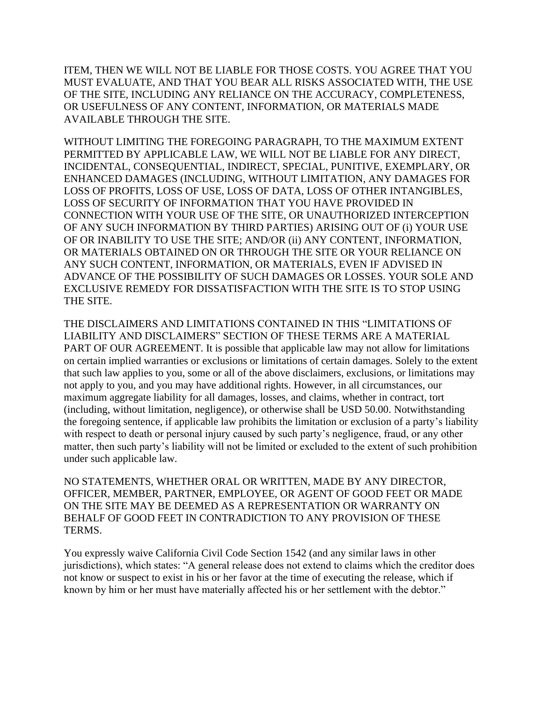ITEM, THEN WE WILL NOT BE LIABLE FOR THOSE COSTS. YOU AGREE THAT YOU MUST EVALUATE, AND THAT YOU BEAR ALL RISKS ASSOCIATED WITH, THE USE OF THE SITE, INCLUDING ANY RELIANCE ON THE ACCURACY, COMPLETENESS, OR USEFULNESS OF ANY CONTENT, INFORMATION, OR MATERIALS MADE AVAILABLE THROUGH THE SITE.

WITHOUT LIMITING THE FOREGOING PARAGRAPH, TO THE MAXIMUM EXTENT PERMITTED BY APPLICABLE LAW, WE WILL NOT BE LIABLE FOR ANY DIRECT, INCIDENTAL, CONSEQUENTIAL, INDIRECT, SPECIAL, PUNITIVE, EXEMPLARY, OR ENHANCED DAMAGES (INCLUDING, WITHOUT LIMITATION, ANY DAMAGES FOR LOSS OF PROFITS, LOSS OF USE, LOSS OF DATA, LOSS OF OTHER INTANGIBLES, LOSS OF SECURITY OF INFORMATION THAT YOU HAVE PROVIDED IN CONNECTION WITH YOUR USE OF THE SITE, OR UNAUTHORIZED INTERCEPTION OF ANY SUCH INFORMATION BY THIRD PARTIES) ARISING OUT OF (i) YOUR USE OF OR INABILITY TO USE THE SITE; AND/OR (ii) ANY CONTENT, INFORMATION, OR MATERIALS OBTAINED ON OR THROUGH THE SITE OR YOUR RELIANCE ON ANY SUCH CONTENT, INFORMATION, OR MATERIALS, EVEN IF ADVISED IN ADVANCE OF THE POSSIBILITY OF SUCH DAMAGES OR LOSSES. YOUR SOLE AND EXCLUSIVE REMEDY FOR DISSATISFACTION WITH THE SITE IS TO STOP USING THE SITE.

THE DISCLAIMERS AND LIMITATIONS CONTAINED IN THIS "LIMITATIONS OF LIABILITY AND DISCLAIMERS" SECTION OF THESE TERMS ARE A MATERIAL PART OF OUR AGREEMENT. It is possible that applicable law may not allow for limitations on certain implied warranties or exclusions or limitations of certain damages. Solely to the extent that such law applies to you, some or all of the above disclaimers, exclusions, or limitations may not apply to you, and you may have additional rights. However, in all circumstances, our maximum aggregate liability for all damages, losses, and claims, whether in contract, tort (including, without limitation, negligence), or otherwise shall be USD 50.00. Notwithstanding the foregoing sentence, if applicable law prohibits the limitation or exclusion of a party's liability with respect to death or personal injury caused by such party's negligence, fraud, or any other matter, then such party's liability will not be limited or excluded to the extent of such prohibition under such applicable law.

NO STATEMENTS, WHETHER ORAL OR WRITTEN, MADE BY ANY DIRECTOR, OFFICER, MEMBER, PARTNER, EMPLOYEE, OR AGENT OF GOOD FEET OR MADE ON THE SITE MAY BE DEEMED AS A REPRESENTATION OR WARRANTY ON BEHALF OF GOOD FEET IN CONTRADICTION TO ANY PROVISION OF THESE TERMS.

You expressly waive California Civil Code Section 1542 (and any similar laws in other jurisdictions), which states: "A general release does not extend to claims which the creditor does not know or suspect to exist in his or her favor at the time of executing the release, which if known by him or her must have materially affected his or her settlement with the debtor."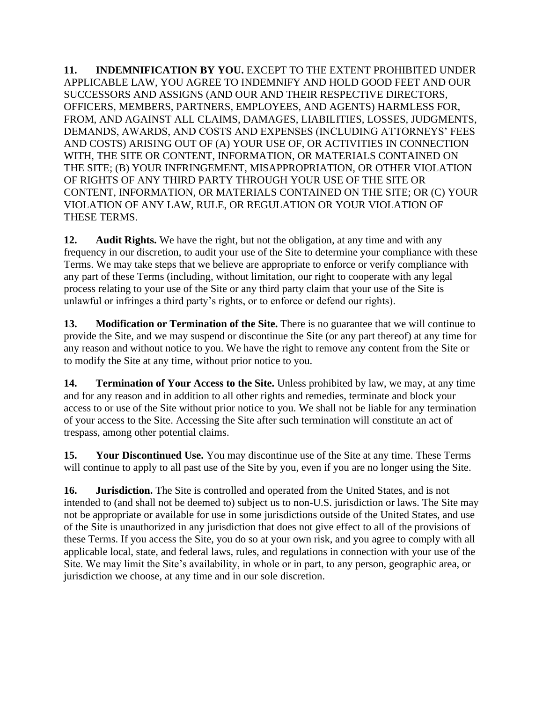**11. INDEMNIFICATION BY YOU.** EXCEPT TO THE EXTENT PROHIBITED UNDER APPLICABLE LAW, YOU AGREE TO INDEMNIFY AND HOLD GOOD FEET AND OUR SUCCESSORS AND ASSIGNS (AND OUR AND THEIR RESPECTIVE DIRECTORS, OFFICERS, MEMBERS, PARTNERS, EMPLOYEES, AND AGENTS) HARMLESS FOR, FROM, AND AGAINST ALL CLAIMS, DAMAGES, LIABILITIES, LOSSES, JUDGMENTS, DEMANDS, AWARDS, AND COSTS AND EXPENSES (INCLUDING ATTORNEYS' FEES AND COSTS) ARISING OUT OF (A) YOUR USE OF, OR ACTIVITIES IN CONNECTION WITH, THE SITE OR CONTENT, INFORMATION, OR MATERIALS CONTAINED ON THE SITE; (B) YOUR INFRINGEMENT, MISAPPROPRIATION, OR OTHER VIOLATION OF RIGHTS OF ANY THIRD PARTY THROUGH YOUR USE OF THE SITE OR CONTENT, INFORMATION, OR MATERIALS CONTAINED ON THE SITE; OR (C) YOUR VIOLATION OF ANY LAW, RULE, OR REGULATION OR YOUR VIOLATION OF THESE TERMS.

**12. Audit Rights.** We have the right, but not the obligation, at any time and with any frequency in our discretion, to audit your use of the Site to determine your compliance with these Terms. We may take steps that we believe are appropriate to enforce or verify compliance with any part of these Terms (including, without limitation, our right to cooperate with any legal process relating to your use of the Site or any third party claim that your use of the Site is unlawful or infringes a third party's rights, or to enforce or defend our rights).

**13. Modification or Termination of the Site.** There is no guarantee that we will continue to provide the Site, and we may suspend or discontinue the Site (or any part thereof) at any time for any reason and without notice to you. We have the right to remove any content from the Site or to modify the Site at any time, without prior notice to you.

**14. Termination of Your Access to the Site.** Unless prohibited by law, we may, at any time and for any reason and in addition to all other rights and remedies, terminate and block your access to or use of the Site without prior notice to you. We shall not be liable for any termination of your access to the Site. Accessing the Site after such termination will constitute an act of trespass, among other potential claims.

**15. Your Discontinued Use.** You may discontinue use of the Site at any time. These Terms will continue to apply to all past use of the Site by you, even if you are no longer using the Site.

**16. Jurisdiction.** The Site is controlled and operated from the United States, and is not intended to (and shall not be deemed to) subject us to non-U.S. jurisdiction or laws. The Site may not be appropriate or available for use in some jurisdictions outside of the United States, and use of the Site is unauthorized in any jurisdiction that does not give effect to all of the provisions of these Terms. If you access the Site, you do so at your own risk, and you agree to comply with all applicable local, state, and federal laws, rules, and regulations in connection with your use of the Site. We may limit the Site's availability, in whole or in part, to any person, geographic area, or jurisdiction we choose, at any time and in our sole discretion.